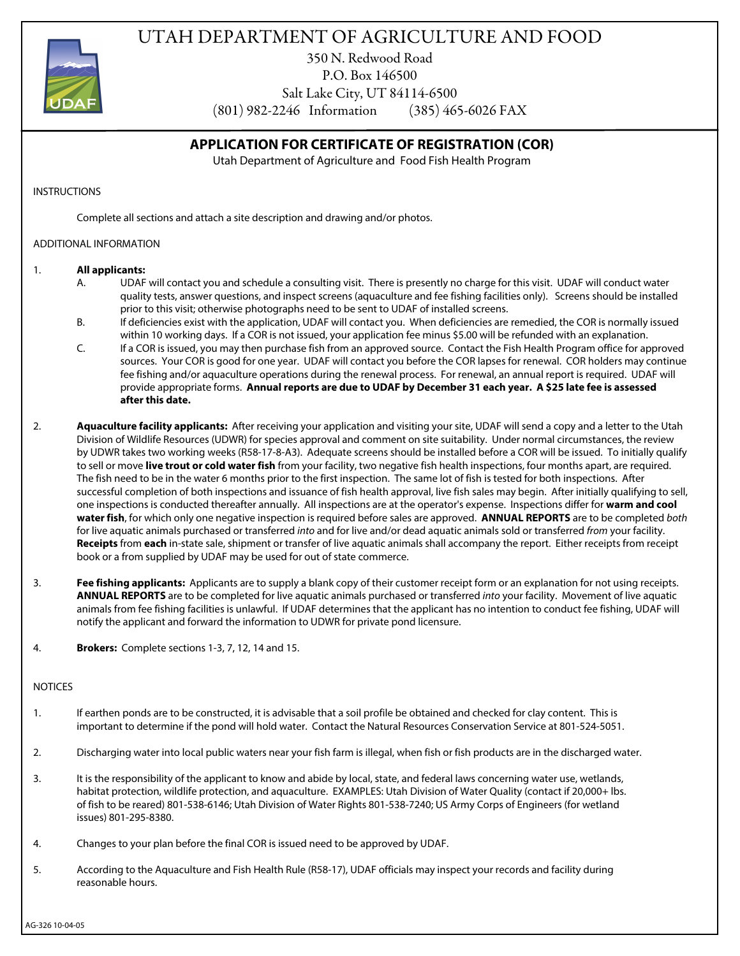



350 N. Redwood Road P.O. Box 146500

Salt Lake City, UT 84114-6500

(801) 982-2246 Information (385) 465-6026 FAX

# **APPLICATION FOR CERTIFICATE OF REGISTRATION (COR)**

Utah Department of Agriculture and Food Fish Health Program

#### INSTRUCTIONS

Complete all sections and attach a site description and drawing and/or photos.

### ADDITIONAL INFORMATION

### 1. **All applicants:**

- A. UDAF will contact you and schedule a consulting visit. There is presently no charge for this visit. UDAF will conduct water quality tests, answer questions, and inspect screens (aquaculture and fee fishing facilities only). Screens should be installed prior to this visit; otherwise photographs need to be sent to UDAF of installed screens.
- B. If deficiencies exist with the application, UDAF will contact you. When deficiencies are remedied, the COR is normally issued within 10 working days. If a COR is not issued, your application fee minus \$5.00 will be refunded with an explanation.
- C. If a COR is issued, you may then purchase fish from an approved source. Contact the Fish Health Program office for approved sources. Your COR is good for one year. UDAF will contact you before the COR lapses for renewal. COR holders may continue fee fishing and/or aquaculture operations during the renewal process. For renewal, an annual report is required. UDAF will provide appropriate forms. **Annual reports are due to UDAF by December 31 each year. A \$25 late fee is assessed after this date.**
- 2. **Aquaculture facility applicants:** After receiving your application and visiting your site, UDAF will send a copy and a letter to the Utah Division of Wildlife Resources (UDWR) for species approval and comment on site suitability. Under normal circumstances, the review by UDWR takes two working weeks (R58-17-8-A3). Adequate screens should be installed before a COR will be issued. To initially qualify to sell or move **live trout or cold water fish** from your facility, two negative fish health inspections, four months apart, are required. The fish need to be in the water 6 months prior to the first inspection. The same lot of fish is tested for both inspections. After successful completion of both inspections and issuance of fish health approval, live fish sales may begin. After initially qualifying to sell, one inspections is conducted thereafter annually. All inspections are at the operator's expense. Inspections differ for **warm and cool water fish**, for which only one negative inspection is required before sales are approved. **ANNUAL REPORTS** are to be completed *both* for live aquatic animals purchased or transferred *into* and for live and/or dead aquatic animals sold or transferred *from* your facility. **Receipts** from **each** in-state sale, shipment or transfer of live aquatic animals shall accompany the report. Either receipts from receipt book or a from supplied by UDAF may be used for out of state commerce.
- 3. **Fee fishing applicants:** Applicants are to supply a blank copy of their customer receipt form or an explanation for not using receipts. **ANNUAL REPORTS** are to be completed for live aquatic animals purchased or transferred *into* your facility. Movement of live aquatic animals from fee fishing facilities is unlawful. If UDAF determines that the applicant has no intention to conduct fee fishing, UDAF will notify the applicant and forward the information to UDWR for private pond licensure.
- 4. **Brokers:** Complete sections 1-3, 7, 12, 14 and 15.

## **NOTICES**

- 1. If earthen ponds are to be constructed, it is advisable that a soil profile be obtained and checked for clay content. This is important to determine if the pond will hold water. Contact the Natural Resources Conservation Service at 801-524-5051.
- 2. Discharging water into local public waters near your fish farm is illegal, when fish or fish products are in the discharged water.
- 3. It is the responsibility of the applicant to know and abide by local, state, and federal laws concerning water use, wetlands, habitat protection, wildlife protection, and aquaculture. EXAMPLES: Utah Division of Water Quality (contact if 20,000+ lbs. of fish to be reared) 801-538-6146; Utah Division of Water Rights 801-538-7240; US Army Corps of Engineers (for wetland issues) 801-295-8380.
- 4. Changes to your plan before the final COR is issued need to be approved by UDAF.
- 5. According to the Aquaculture and Fish Health Rule (R58-17), UDAF officials may inspect your records and facility during reasonable hours.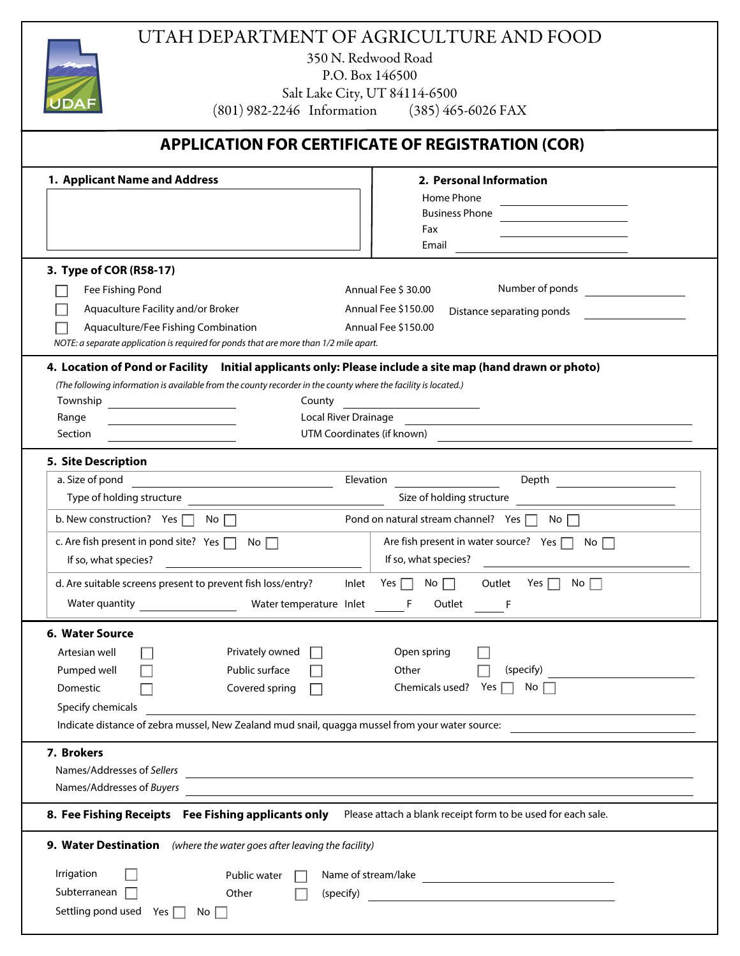|                                                                                                                                                            | UTAH DEPARTMENT OF AGRICULTURE AND FOOD                                           |  |  |  |  |  |
|------------------------------------------------------------------------------------------------------------------------------------------------------------|-----------------------------------------------------------------------------------|--|--|--|--|--|
| 350 N. Redwood Road<br>P.O. Box 146500                                                                                                                     |                                                                                   |  |  |  |  |  |
| Salt Lake City, UT 84114-6500<br>UDAF<br>(801) 982-2246 Information (385) 465-6026 FAX                                                                     |                                                                                   |  |  |  |  |  |
|                                                                                                                                                            |                                                                                   |  |  |  |  |  |
| <b>APPLICATION FOR CERTIFICATE OF REGISTRATION (COR)</b>                                                                                                   |                                                                                   |  |  |  |  |  |
| 1. Applicant Name and Address                                                                                                                              | 2. Personal Information                                                           |  |  |  |  |  |
|                                                                                                                                                            | Home Phone<br><b>Business Phone</b>                                               |  |  |  |  |  |
|                                                                                                                                                            | Fax                                                                               |  |  |  |  |  |
|                                                                                                                                                            | Email                                                                             |  |  |  |  |  |
| 3. Type of COR (R58-17)                                                                                                                                    |                                                                                   |  |  |  |  |  |
| Fee Fishing Pond                                                                                                                                           | Number of ponds Number<br>Annual Fee \$ 30.00                                     |  |  |  |  |  |
| Aquaculture Facility and/or Broker                                                                                                                         | Annual Fee \$150.00<br>Distance separating ponds                                  |  |  |  |  |  |
| Aquaculture/Fee Fishing Combination<br>NOTE: a separate application is required for ponds that are more than 1/2 mile apart.                               | Annual Fee \$150.00                                                               |  |  |  |  |  |
| 4. Location of Pond or Facility Initial applicants only: Please include a site map (hand drawn or photo)                                                   |                                                                                   |  |  |  |  |  |
| (The following information is available from the county recorder in the county where the facility is located.)<br>Township<br>County                       |                                                                                   |  |  |  |  |  |
| Local River Drainage<br>Range                                                                                                                              |                                                                                   |  |  |  |  |  |
| UTM Coordinates (if known)<br>Section                                                                                                                      |                                                                                   |  |  |  |  |  |
| 5. Site Description                                                                                                                                        |                                                                                   |  |  |  |  |  |
| a. Size of pond<br>Elevation                                                                                                                               |                                                                                   |  |  |  |  |  |
| Type of holding structure                                                                                                                                  | Size of holding structure                                                         |  |  |  |  |  |
| Pond on natural stream channel? Yes $\Box$ No $\Box$<br>b. New construction? Yes $\Box$ No $\Box$                                                          |                                                                                   |  |  |  |  |  |
| c. Are fish present in pond site? Yes $\Box$<br>No $\Box$                                                                                                  | Are fish present in water source? Yes $\Box$<br>No $\Box$<br>If so, what species? |  |  |  |  |  |
| If so, what species?                                                                                                                                       |                                                                                   |  |  |  |  |  |
| d. Are suitable screens present to prevent fish loss/entry?<br>Inlet<br>Water temperature Inlet<br>Water quantity <b>Example 20</b>                        | Yes $\Box$<br>Yes $\Box$<br>$No \Box$<br>Outlet<br>No $\Box$<br>F<br>Outlet<br>F  |  |  |  |  |  |
| 6. Water Source                                                                                                                                            |                                                                                   |  |  |  |  |  |
| Privately owned<br>Artesian well<br>Open spring                                                                                                            |                                                                                   |  |  |  |  |  |
| Public surface<br>Pumped well<br>Other<br>(specify)                                                                                                        |                                                                                   |  |  |  |  |  |
| Chemicals used? Yes $\Box$<br>No $\Box$<br>Covered spring<br>Domestic                                                                                      |                                                                                   |  |  |  |  |  |
| Specify chemicals                                                                                                                                          |                                                                                   |  |  |  |  |  |
| Indicate distance of zebra mussel, New Zealand mud snail, quagga mussel from your water source:                                                            |                                                                                   |  |  |  |  |  |
| 7. Brokers                                                                                                                                                 |                                                                                   |  |  |  |  |  |
| Names/Addresses of Sellers                                                                                                                                 | <u> 1989 - Johann Stoff, amerikansk politiker (d. 1989)</u>                       |  |  |  |  |  |
| Names/Addresses of Buyers                                                                                                                                  |                                                                                   |  |  |  |  |  |
| 8. Fee Fishing Receipts Fee Fishing applicants only                                                                                                        | Please attach a blank receipt form to be used for each sale.                      |  |  |  |  |  |
| 9. Water Destination (where the water goes after leaving the facility)                                                                                     |                                                                                   |  |  |  |  |  |
| Irrigation<br>Public water                                                                                                                                 |                                                                                   |  |  |  |  |  |
| Subterranean<br>Other<br>(specify)<br><u> 1980 - Jan Stein Stein Stein Stein Stein Stein Stein Stein Stein Stein Stein Stein Stein Stein Stein Stein S</u> |                                                                                   |  |  |  |  |  |
| Settling pond used Yes $\Box$<br>No                                                                                                                        |                                                                                   |  |  |  |  |  |
|                                                                                                                                                            |                                                                                   |  |  |  |  |  |